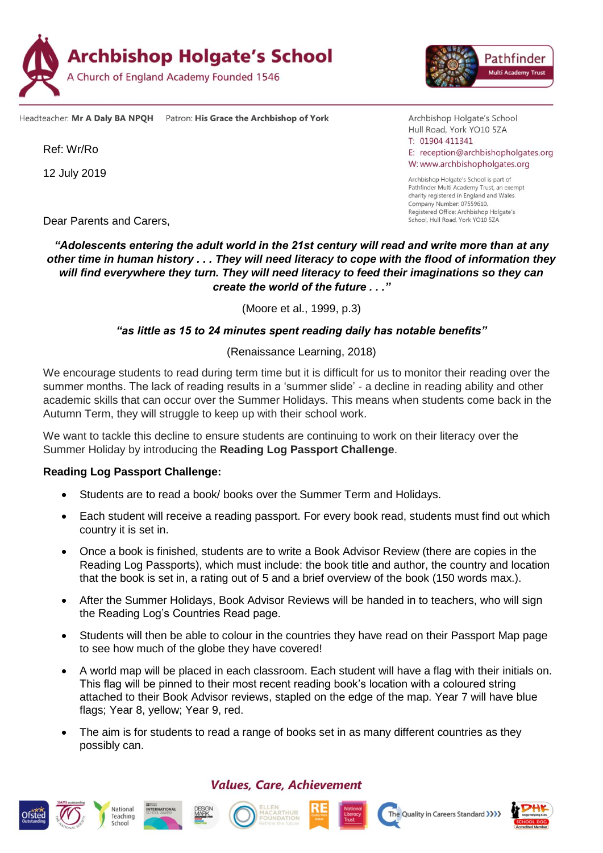

Headteacher: Mr A Daly BA NPQH Patron: His Grace the Archbishop of York

Ref: Wr/Ro

12 July 2019

Dear Parents and Carers,

# School, Hull Road, York YO10 5ZA *"Adolescents entering the adult world in the 21st century will read and write more than at any other time in human history . . . They will need literacy to cope with the flood of information they will find everywhere they turn. They will need literacy to feed their imaginations so they can*

*create the world of the future . . ."*

(Moore et al., 1999, p.3)

#### *"as little as 15 to 24 minutes spent reading daily has notable benefits"*

#### (Renaissance Learning, 2018)

We encourage students to read during term time but it is difficult for us to monitor their reading over the summer months. The lack of reading results in a 'summer slide' - a decline in reading ability and other academic skills that can occur over the Summer Holidays. This means when students come back in the Autumn Term, they will struggle to keep up with their school work.

We want to tackle this decline to ensure students are continuing to work on their literacy over the Summer Holiday by introducing the **Reading Log Passport Challenge**.

#### **Reading Log Passport Challenge:**

- Students are to read a book/ books over the Summer Term and Holidays.
- Each student will receive a reading passport. For every book read, students must find out which country it is set in.
- Once a book is finished, students are to write a Book Advisor Review (there are copies in the Reading Log Passports), which must include: the book title and author, the country and location that the book is set in, a rating out of 5 and a brief overview of the book (150 words max.).
- After the Summer Holidays, Book Advisor Reviews will be handed in to teachers, who will sign the Reading Log's Countries Read page.
- Students will then be able to colour in the countries they have read on their Passport Map page to see how much of the globe they have covered!
- A world map will be placed in each classroom. Each student will have a flag with their initials on. This flag will be pinned to their most recent reading book's location with a coloured string attached to their Book Advisor reviews, stapled on the edge of the map. Year 7 will have blue flags; Year 8, yellow; Year 9, red.
- The aim is for students to read a range of books set in as many different countries as they possibly can.

# **Values, Care, Achievement**















Archbishop Holgate's School Hull Road, York YO10 5ZA  $T: 01904411341$ E: reception@archbishopholgates.org W: www.archbishopholgates.org

Archbishop Holgate's School is part of Pathfinder Multi Academy Trust, an exempt charity registered in England and Wales. Company Number: 07559610. Registered Office: Archbishop Holgate's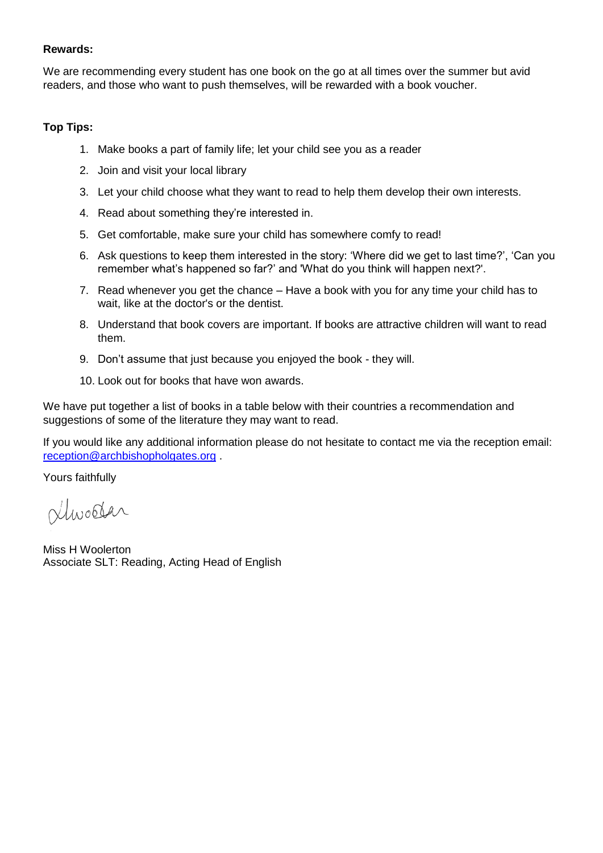## **Rewards:**

We are recommending every student has one book on the go at all times over the summer but avid readers, and those who want to push themselves, will be rewarded with a book voucher.

## **Top Tips:**

- 1. Make books a part of family life; let your child see you as a reader
- 2. Join and visit your local library
- 3. Let your child choose what they want to read to help them develop their own interests.
- 4. Read about something they're interested in.
- 5. Get comfortable, make sure your child has somewhere comfy to read!
- 6. Ask questions to keep them interested in the story: 'Where did we get to last time?', 'Can you remember what's happened so far?' and 'What do you think will happen next?'.
- 7. Read whenever you get the chance Have a book with you for any time your child has to wait, like at the doctor's or the dentist.
- 8. Understand that book covers are important. If books are attractive children will want to read them.
- 9. Don't assume that just because you enjoyed the book they will.
- 10. Look out for books that have won awards.

We have put together a list of books in a table below with their countries a recommendation and suggestions of some of the literature they may want to read.

If you would like any additional information please do not hesitate to contact me via the reception email: [reception@archbishopholgates.org](mailto:reception@archbishopholgates.org) .

Yours faithfully

Ninostar

Miss H Woolerton Associate SLT: Reading, Acting Head of English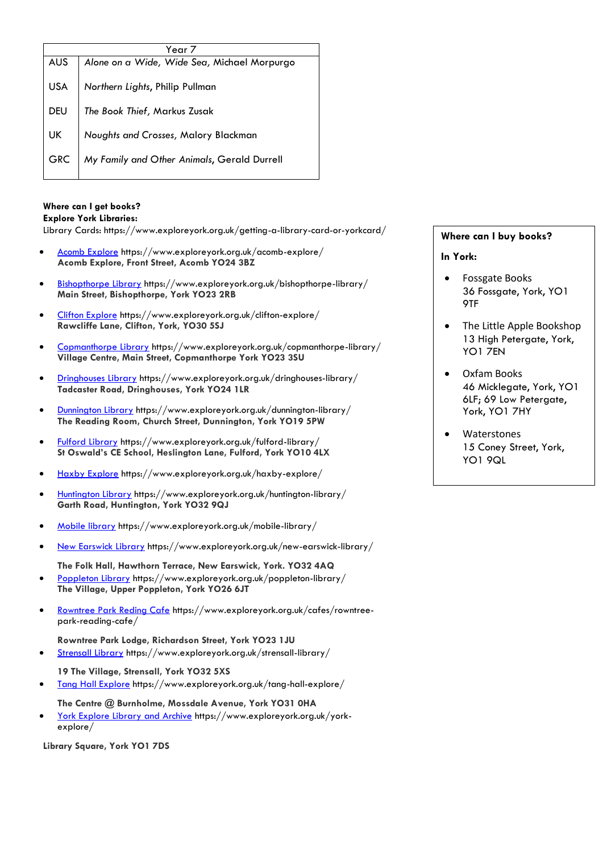| Year 7     |                                             |
|------------|---------------------------------------------|
| <b>AUS</b> | Alone on a Wide, Wide Sea, Michael Morpurgo |
| USA        | Northern Lights, Philip Pullman             |
| <b>DEU</b> | The Book Thief, Markus Zusak                |
| UK         | Noughts and Crosses, Malory Blackman        |
| <b>GRC</b> | My Family and Other Animals, Gerald Durrell |

#### **Where can I get books?**

#### **Explore York Libraries:**

Library Cards: https://www.exploreyork.org.uk/getting-a-library-card-or-yorkcard/

- [Acomb Explore](https://www.exploreyork.org.uk/acomb-explore/) https://www.exploreyork.org.uk/acomb-explore/ **Acomb Explore, Front Street, Acomb YO24 3BZ**
- [Bishopthorpe Library](https://www.exploreyork.org.uk/bishopthorpe-library/) https://www.exploreyork.org.uk/bishopthorpe-library/ **Main Street, Bishopthorpe, York YO23 2RB**
- [Clifton Explore](https://www.exploreyork.org.uk/clifton-explore/) https://www.exploreyork.org.uk/clifton-explore/ **Rawcliffe Lane, Clifton, York, YO30 5SJ**
- [Copmanthorpe Library](https://www.exploreyork.org.uk/copmanthorpe-library/) https://www.exploreyork.org.uk/copmanthorpe-library/ **Village Centre, Main Street, Copmanthorpe York YO23 3SU**
- [Dringhouses Library](https://www.exploreyork.org.uk/dringhouses-library/) https://www.exploreyork.org.uk/dringhouses-library/ **Tadcaster Road, Dringhouses, York YO24 1LR**
- [Dunnington Library](https://www.exploreyork.org.uk/dunnington-library/) https://www.exploreyork.org.uk/dunnington-library/ **The Reading Room, Church Street, Dunnington, York YO19 5PW**
- [Fulford Library](https://www.exploreyork.org.uk/fulford-library/) https://www.exploreyork.org.uk/fulford-library/ **St Oswald's CE School, Heslington Lane, Fulford, York YO10 4LX**
- [Haxby Explore](https://www.exploreyork.org.uk/haxby-explore/) https://www.exploreyork.org.uk/haxby-explore/
- [Huntington Library](https://www.exploreyork.org.uk/huntington-library/) https://www.exploreyork.org.uk/huntington-library/ **Garth Road, Huntington, York YO32 9QJ**
- [Mobile library](https://www.exploreyork.org.uk/mobile-library/) https://www.exploreyork.org.uk/mobile-library/
- [New Earswick Library](https://www.exploreyork.org.uk/new-earswick-library/) https://www.exploreyork.org.uk/new-earswick-library/

**The Folk Hall, Hawthorn Terrace, New Earswick, York. YO32 4AQ**

- [Poppleton Library](https://www.exploreyork.org.uk/poppleton-library/) https://www.exploreyork.org.uk/poppleton-library/ **The Village, Upper Poppleton, York YO26 6JT**
- [Rowntree Park Reding Cafe](https://www.exploreyork.org.uk/strensall-library/) https://www.exploreyork.org.uk/cafes/rowntreepark-reading-cafe/
- **Rowntree Park Lodge, Richardson Street, York YO23 1JU** [Strensall Library](https://www.exploreyork.org.uk/strensall-library/) https://www.exploreyork.org.uk/strensall-library/
	- **19 The Village, Strensall, York YO32 5XS**
- [Tang Hall Explore](https://www.exploreyork.org.uk/tang-hall-explore/) https://www.exploreyork.org.uk/tang-hall-explore/

**The Centre @ Burnholme, Mossdale Avenue, York YO31 0HA**

 [York Explore Library and Archive](https://www.exploreyork.org.uk/york-explore/) https://www.exploreyork.org.uk/yorkexplore/

**Library Square, York YO1 7DS**

## **Where can I buy books?**

#### **In York:**

- [Fossgate Books](https://www.list.co.uk/place/92643-fossgate-books-york/) 36 Fossgate, York, YO1 9TF
- [The Little Apple Bookshop](https://www.list.co.uk/place/92642-the-little-apple-bookshop-york/) 13 High Petergate, York, YO1 7EN
- [Oxfam Books](https://www.list.co.uk/place/92648-oxfam-books-york/) 46 Micklegate, York, YO1 6LF; 69 Low Petergate, York, YO1 7HY
- [Waterstones](https://www.list.co.uk/place/60707-waterstones-york/) 15 Coney Street, York, YO1 9QL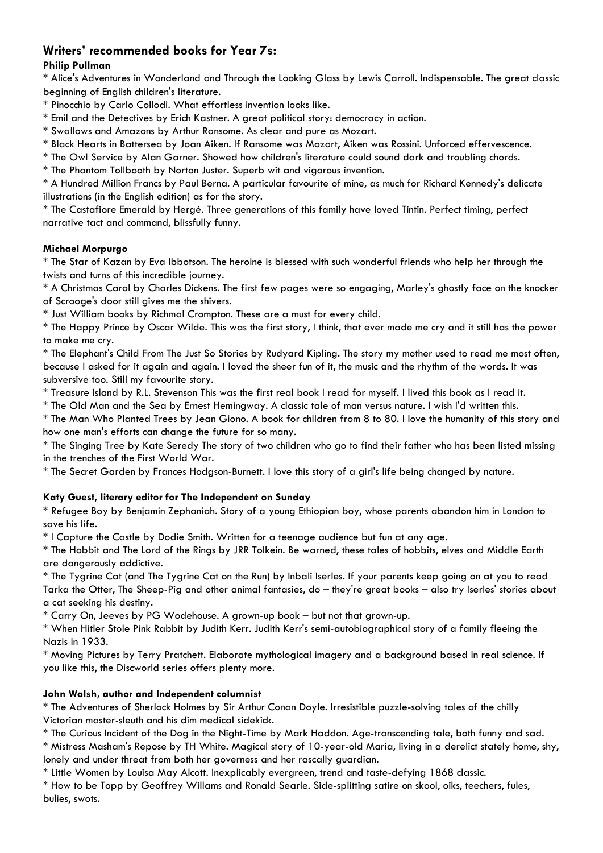# **Writers' recommended books for Year 7s:**

#### **Philip Pullman**

\* Alice's Adventures in Wonderland and Through the Looking Glass by Lewis Carroll. Indispensable. The great classic beginning of English children's literature.

\* Pinocchio by Carlo Collodi. What effortless invention looks like.

\* Emil and the Detectives by Erich Kastner. A great political story: democracy in action.

\* Swallows and Amazons by Arthur Ransome. As clear and pure as Mozart.

\* Black Hearts in Battersea by Joan Aiken. If Ransome was Mozart, Aiken was Rossini. Unforced effervescence.

\* The Owl Service by Alan Garner. Showed how children's literature could sound dark and troubling chords.

\* The Phantom Tollbooth by Norton Juster. Superb wit and vigorous invention.

\* A Hundred Million Francs by Paul Berna. A particular favourite of mine, as much for Richard Kennedy's delicate illustrations (in the English edition) as for the story.

\* The Castafiore Emerald by Hergé. Three generations of this family have loved Tintin. Perfect timing, perfect narrative tact and command, blissfully funny.

#### **Michael Morpurgo**

\* The Star of Kazan by Eva Ibbotson. The heroine is blessed with such wonderful friends who help her through the twists and turns of this incredible journey.

\* A Christmas Carol by Charles Dickens. The first few pages were so engaging, Marley's ghostly face on the knocker of Scrooge's door still gives me the shivers.

\* Just William books by Richmal Crompton. These are a must for every child.

\* The Happy Prince by Oscar Wilde. This was the first story, I think, that ever made me cry and it still has the power to make me cry.

\* The Elephant's Child From The Just So Stories by Rudyard Kipling. The story my mother used to read me most often, because I asked for it again and again. I loved the sheer fun of it, the music and the rhythm of the words. It was subversive too. Still my favourite story.

\* Treasure Island by R.L. Stevenson This was the first real book I read for myself. I lived this book as I read it.

\* The Old Man and the Sea by Ernest Hemingway. A classic tale of man versus nature. I wish I'd written this.

\* The Man Who Planted Trees by Jean Giono. A book for children from 8 to 80. I love the humanity of this story and how one man's efforts can change the future for so many.

\* The Singing Tree by Kate Seredy The story of two children who go to find their father who has been listed missing in the trenches of the First World War.

\* The Secret Garden by Frances Hodgson-Burnett. I love this story of a girl's life being changed by nature.

## **Katy Guest, literary editor for The Independent on Sunday**

\* Refugee Boy by Benjamin Zephaniah. Story of a young Ethiopian boy, whose parents abandon him in London to save his life.

\* I Capture the Castle by Dodie Smith. Written for a teenage audience but fun at any age.

\* The Hobbit and The Lord of the Rings by JRR Tolkein. Be warned, these tales of hobbits, elves and Middle Earth are dangerously addictive.

\* The Tygrine Cat (and The Tygrine Cat on the Run) by Inbali Iserles. If your parents keep going on at you to read Tarka the Otter, The Sheep-Pig and other animal fantasies, do – they're great books – also try Iserles' stories about a cat seeking his destiny.

\* Carry On, Jeeves by PG Wodehouse. A grown-up book – but not that grown-up.

\* When Hitler Stole Pink Rabbit by Judith Kerr. Judith Kerr's semi-autobiographical story of a family fleeing the Nazis in 1933.

\* Moving Pictures by Terry Pratchett. Elaborate mythological imagery and a background based in real science. If you like this, the Discworld series offers plenty more.

## **John Walsh, author and Independent columnist**

\* The Adventures of Sherlock Holmes by Sir Arthur Conan Doyle. Irresistible puzzle-solving tales of the chilly Victorian master-sleuth and his dim medical sidekick.

\* The Curious Incident of the Dog in the Night-Time by Mark Haddon. Age-transcending tale, both funny and sad.

\* Mistress Masham's Repose by TH White. Magical story of 10-year-old Maria, living in a derelict stately home, shy, lonely and under threat from both her governess and her rascally guardian.

\* Little Women by Louisa May Alcott. Inexplicably evergreen, trend and taste-defying 1868 classic.

\* How to be Topp by Geoffrey Willams and Ronald Searle. Side-splitting satire on skool, oiks, teechers, fules, bulies, swots.